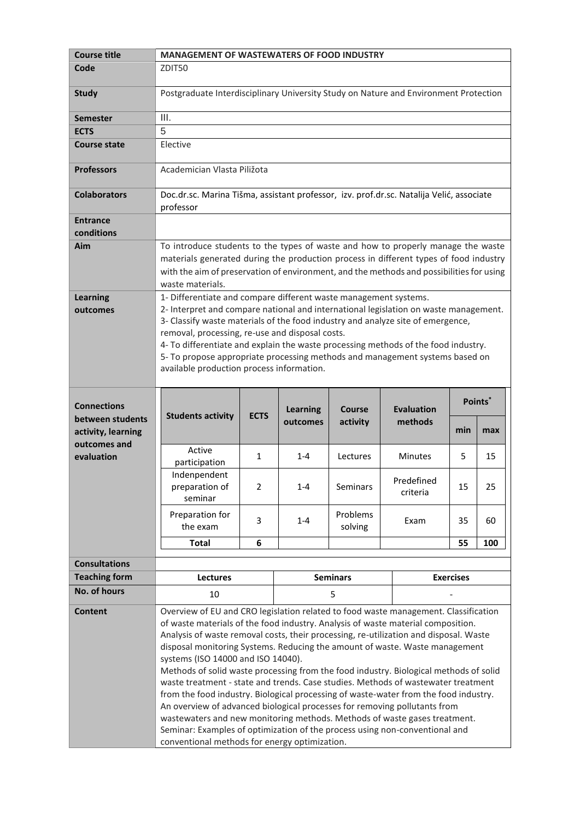| <b>Course title</b>                    | <b>MANAGEMENT OF WASTEWATERS OF FOOD INDUSTRY</b>                                                                                                                                                                                                                                         |                                                                                                                                                                           |                                     |          |                              |         |     |  |
|----------------------------------------|-------------------------------------------------------------------------------------------------------------------------------------------------------------------------------------------------------------------------------------------------------------------------------------------|---------------------------------------------------------------------------------------------------------------------------------------------------------------------------|-------------------------------------|----------|------------------------------|---------|-----|--|
| Code                                   | ZDIT50                                                                                                                                                                                                                                                                                    |                                                                                                                                                                           |                                     |          |                              |         |     |  |
| <b>Study</b>                           | Postgraduate Interdisciplinary University Study on Nature and Environment Protection                                                                                                                                                                                                      |                                                                                                                                                                           |                                     |          |                              |         |     |  |
| Semester                               | III.                                                                                                                                                                                                                                                                                      |                                                                                                                                                                           |                                     |          |                              |         |     |  |
| <b>ECTS</b>                            | 5                                                                                                                                                                                                                                                                                         |                                                                                                                                                                           |                                     |          |                              |         |     |  |
| <b>Course state</b>                    | Elective                                                                                                                                                                                                                                                                                  |                                                                                                                                                                           |                                     |          |                              |         |     |  |
| <b>Professors</b>                      | Academician Vlasta Piližota                                                                                                                                                                                                                                                               |                                                                                                                                                                           |                                     |          |                              |         |     |  |
| <b>Colaborators</b>                    | Doc.dr.sc. Marina Tišma, assistant professor, izv. prof.dr.sc. Natalija Velić, associate<br>professor                                                                                                                                                                                     |                                                                                                                                                                           |                                     |          |                              |         |     |  |
| <b>Entrance</b>                        |                                                                                                                                                                                                                                                                                           |                                                                                                                                                                           |                                     |          |                              |         |     |  |
| conditions                             |                                                                                                                                                                                                                                                                                           |                                                                                                                                                                           |                                     |          |                              |         |     |  |
| Aim                                    | To introduce students to the types of waste and how to properly manage the waste<br>materials generated during the production process in different types of food industry<br>with the aim of preservation of environment, and the methods and possibilities for using<br>waste materials. |                                                                                                                                                                           |                                     |          |                              |         |     |  |
| Learning                               | 1- Differentiate and compare different waste management systems.                                                                                                                                                                                                                          |                                                                                                                                                                           |                                     |          |                              |         |     |  |
| outcomes                               | 2- Interpret and compare national and international legislation on waste management.                                                                                                                                                                                                      |                                                                                                                                                                           |                                     |          |                              |         |     |  |
|                                        | 3- Classify waste materials of the food industry and analyze site of emergence,                                                                                                                                                                                                           |                                                                                                                                                                           |                                     |          |                              |         |     |  |
|                                        | removal, processing, re-use and disposal costs.<br>4- To differentiate and explain the waste processing methods of the food industry.                                                                                                                                                     |                                                                                                                                                                           |                                     |          |                              |         |     |  |
|                                        | 5- To propose appropriate processing methods and management systems based on                                                                                                                                                                                                              |                                                                                                                                                                           |                                     |          |                              |         |     |  |
|                                        | available production process information.                                                                                                                                                                                                                                                 |                                                                                                                                                                           |                                     |          |                              |         |     |  |
|                                        |                                                                                                                                                                                                                                                                                           |                                                                                                                                                                           |                                     |          |                              |         |     |  |
| <b>Connections</b>                     |                                                                                                                                                                                                                                                                                           | <b>ECTS</b>                                                                                                                                                               | <b>Learning</b>                     | Course   | <b>Evaluation</b><br>methods | Points* |     |  |
| between students<br>activity, learning | <b>Students activity</b>                                                                                                                                                                                                                                                                  |                                                                                                                                                                           | outcomes                            | activity |                              | min     | max |  |
| outcomes and                           | Active                                                                                                                                                                                                                                                                                    |                                                                                                                                                                           |                                     |          |                              |         |     |  |
| evaluation                             | participation                                                                                                                                                                                                                                                                             | 1                                                                                                                                                                         | $1 - 4$                             | Lectures | Minutes                      | 5.      | 15  |  |
|                                        | Indenpendent                                                                                                                                                                                                                                                                              |                                                                                                                                                                           |                                     |          | Predefined                   |         |     |  |
|                                        | preparation of                                                                                                                                                                                                                                                                            | 2                                                                                                                                                                         | 1-4                                 | Seminars | criteria                     | 15      | 25  |  |
|                                        | seminar                                                                                                                                                                                                                                                                                   |                                                                                                                                                                           |                                     |          |                              |         |     |  |
|                                        | Preparation for<br>the exam                                                                                                                                                                                                                                                               | 3                                                                                                                                                                         | $1 - 4$                             | Problems | Exam                         | 35      | 60  |  |
|                                        |                                                                                                                                                                                                                                                                                           |                                                                                                                                                                           |                                     | solving  |                              |         |     |  |
|                                        | <b>Total</b>                                                                                                                                                                                                                                                                              | 6                                                                                                                                                                         |                                     |          |                              | 55      | 100 |  |
| <b>Consultations</b>                   |                                                                                                                                                                                                                                                                                           |                                                                                                                                                                           |                                     |          |                              |         |     |  |
| <b>Teaching form</b>                   | Lectures                                                                                                                                                                                                                                                                                  |                                                                                                                                                                           | <b>Seminars</b><br><b>Exercises</b> |          |                              |         |     |  |
| <b>No. of hours</b>                    | 10                                                                                                                                                                                                                                                                                        |                                                                                                                                                                           |                                     | 5        |                              |         |     |  |
| <b>Content</b>                         | Overview of EU and CRO legislation related to food waste management. Classification                                                                                                                                                                                                       |                                                                                                                                                                           |                                     |          |                              |         |     |  |
|                                        |                                                                                                                                                                                                                                                                                           | of waste materials of the food industry. Analysis of waste material composition.<br>Analysis of waste removal costs, their processing, re-utilization and disposal. Waste |                                     |          |                              |         |     |  |
|                                        | disposal monitoring Systems. Reducing the amount of waste. Waste management                                                                                                                                                                                                               |                                                                                                                                                                           |                                     |          |                              |         |     |  |
|                                        | systems (ISO 14000 and ISO 14040).                                                                                                                                                                                                                                                        |                                                                                                                                                                           |                                     |          |                              |         |     |  |
|                                        | Methods of solid waste processing from the food industry. Biological methods of solid                                                                                                                                                                                                     |                                                                                                                                                                           |                                     |          |                              |         |     |  |
|                                        | waste treatment - state and trends. Case studies. Methods of wastewater treatment                                                                                                                                                                                                         |                                                                                                                                                                           |                                     |          |                              |         |     |  |
|                                        | from the food industry. Biological processing of waste-water from the food industry.                                                                                                                                                                                                      |                                                                                                                                                                           |                                     |          |                              |         |     |  |
|                                        | An overview of advanced biological processes for removing pollutants from<br>wastewaters and new monitoring methods. Methods of waste gases treatment.                                                                                                                                    |                                                                                                                                                                           |                                     |          |                              |         |     |  |
|                                        | Seminar: Examples of optimization of the process using non-conventional and                                                                                                                                                                                                               |                                                                                                                                                                           |                                     |          |                              |         |     |  |
|                                        | conventional methods for energy optimization.                                                                                                                                                                                                                                             |                                                                                                                                                                           |                                     |          |                              |         |     |  |